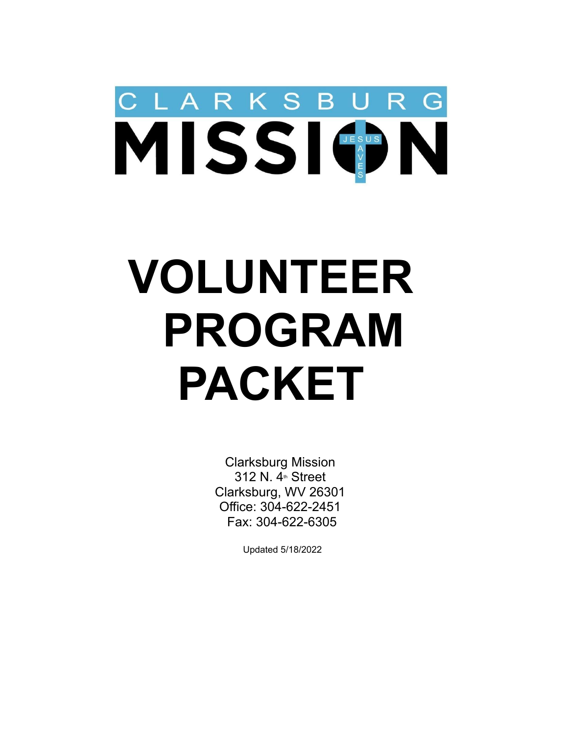

# **VOLUNTEER PROGRAM PACKET**

Clarksburg Mission 312 N. 4<sup>th</sup> Street Clarksburg, WV 26301 Office: 304-622-2451 Fax: 304-622-6305

Updated 5/18/2022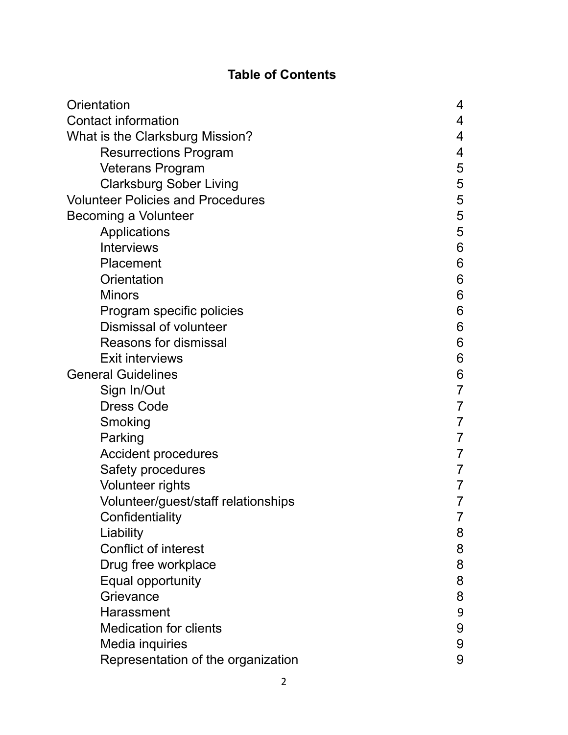## **Table of Contents**

| Orientation                              | 4              |
|------------------------------------------|----------------|
| <b>Contact information</b>               | 4              |
| What is the Clarksburg Mission?          | 4              |
| <b>Resurrections Program</b>             | 4              |
| <b>Veterans Program</b>                  | 5              |
| <b>Clarksburg Sober Living</b>           | 5              |
| <b>Volunteer Policies and Procedures</b> | 5              |
| Becoming a Volunteer                     | 5              |
| Applications                             | 5              |
| <b>Interviews</b>                        | 6              |
| Placement                                | 6              |
| Orientation                              | 6              |
| <b>Minors</b>                            | 6              |
| Program specific policies                | 6              |
| Dismissal of volunteer                   | 6              |
| Reasons for dismissal                    | 6              |
| <b>Exit interviews</b>                   | 6              |
| <b>General Guidelines</b>                | 6              |
| Sign In/Out                              | $\overline{7}$ |
| <b>Dress Code</b>                        | $\overline{7}$ |
| Smoking                                  | $\overline{7}$ |
| Parking                                  | $\overline{7}$ |
| Accident procedures                      | $\overline{7}$ |
| Safety procedures                        | $\overline{7}$ |
| <b>Volunteer rights</b>                  | $\overline{7}$ |
| Volunteer/guest/staff relationships      | 7              |
| Confidentiality                          | ſ              |
| Liability                                | 8              |
| <b>Conflict of interest</b>              | 8              |
| Drug free workplace                      | 8              |
| Equal opportunity                        | 8              |
| Grievance                                | 8              |
| Harassment                               | 9              |
| <b>Medication for clients</b>            | 9              |
| Media inquiries                          | 9              |
| Representation of the organization       | 9              |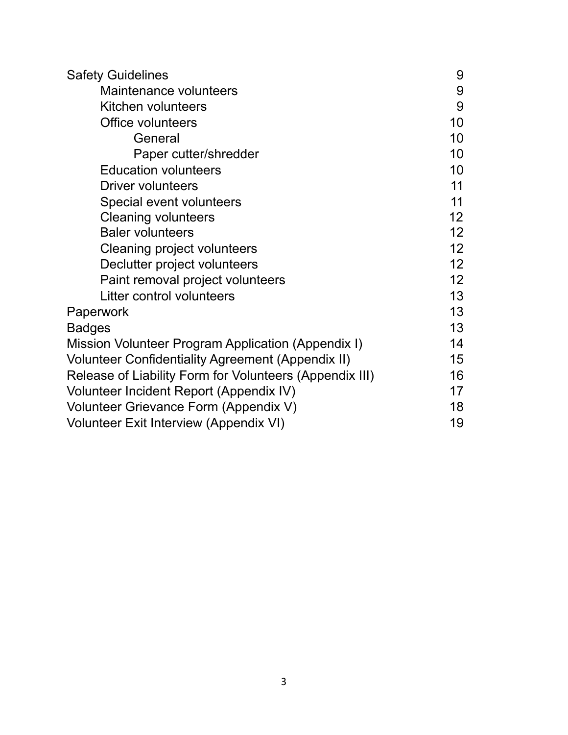| <b>Safety Guidelines</b>                                 | 9               |
|----------------------------------------------------------|-----------------|
| Maintenance volunteers                                   | 9               |
| Kitchen volunteers                                       | 9               |
| Office volunteers                                        | 10              |
| General                                                  | 10              |
| Paper cutter/shredder                                    | 10              |
| <b>Education volunteers</b>                              | 10              |
| <b>Driver volunteers</b>                                 | 11              |
| Special event volunteers                                 | 11              |
| <b>Cleaning volunteers</b>                               | 12 <sub>2</sub> |
| <b>Baler volunteers</b>                                  | 12              |
| Cleaning project volunteers                              | 12 <sup>2</sup> |
| Declutter project volunteers                             | 12 <sub>2</sub> |
| Paint removal project volunteers                         | 12              |
| Litter control volunteers                                | 13              |
| Paperwork                                                | 13              |
| <b>Badges</b>                                            | 13              |
| Mission Volunteer Program Application (Appendix I)       | 14              |
| <b>Volunteer Confidentiality Agreement (Appendix II)</b> | 15              |
| Release of Liability Form for Volunteers (Appendix III)  | 16              |
| Volunteer Incident Report (Appendix IV)                  | 17              |
| Volunteer Grievance Form (Appendix V)                    | 18              |
| Volunteer Exit Interview (Appendix VI)                   | 19              |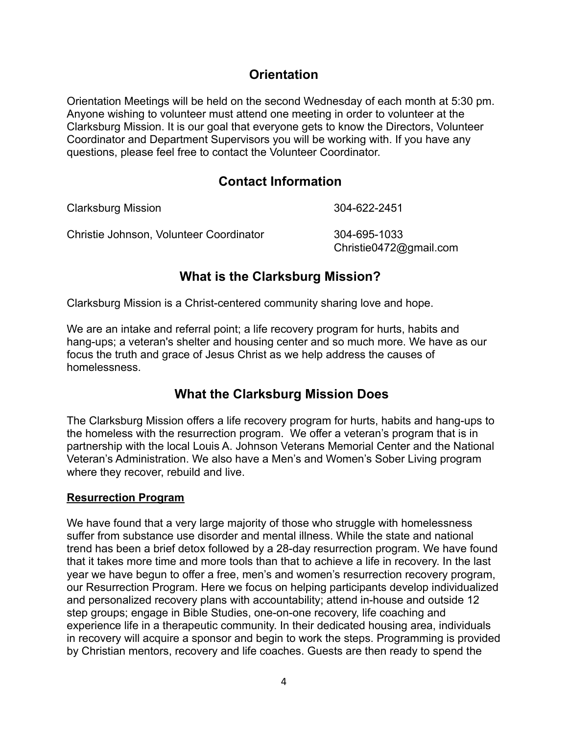#### **Orientation**

Orientation Meetings will be held on the second Wednesday of each month at 5:30 pm. Anyone wishing to volunteer must attend one meeting in order to volunteer at the Clarksburg Mission. It is our goal that everyone gets to know the Directors, Volunteer Coordinator and Department Supervisors you will be working with. If you have any questions, please feel free to contact the Volunteer Coordinator.

#### **Contact Information**

Clarksburg Mission 304-622-2451

Christie Johnson, Volunteer Coordinator 304-695-1033

Christie0472@gmail.com

#### **What is the Clarksburg Mission?**

Clarksburg Mission is a Christ-centered community sharing love and hope.

We are an intake and referral point; a life recovery program for hurts, habits and hang-ups; a veteran's shelter and housing center and so much more. We have as our focus the truth and grace of Jesus Christ as we help address the causes of homelessness.

## **What the Clarksburg Mission Does**

The Clarksburg Mission offers a life recovery program for hurts, habits and hang-ups to the homeless with the resurrection program. We offer a veteran's program that is in partnership with the local Louis A. Johnson Veterans Memorial Center and the National Veteran's Administration. We also have a Men's and Women's Sober Living program where they recover, rebuild and live.

#### **Resurrection Program**

We have found that a very large majority of those who struggle with homelessness suffer from substance use disorder and mental illness. While the state and national trend has been a brief detox followed by a 28-day resurrection program. We have found that it takes more time and more tools than that to achieve a life in recovery. In the last year we have begun to offer a free, men's and women's resurrection recovery program, our Resurrection Program. Here we focus on helping participants develop individualized and personalized recovery plans with accountability; attend in-house and outside 12 step groups; engage in Bible Studies, one-on-one recovery, life coaching and experience life in a therapeutic community. In their dedicated housing area, individuals in recovery will acquire a sponsor and begin to work the steps. Programming is provided by Christian mentors, recovery and life coaches. Guests are then ready to spend the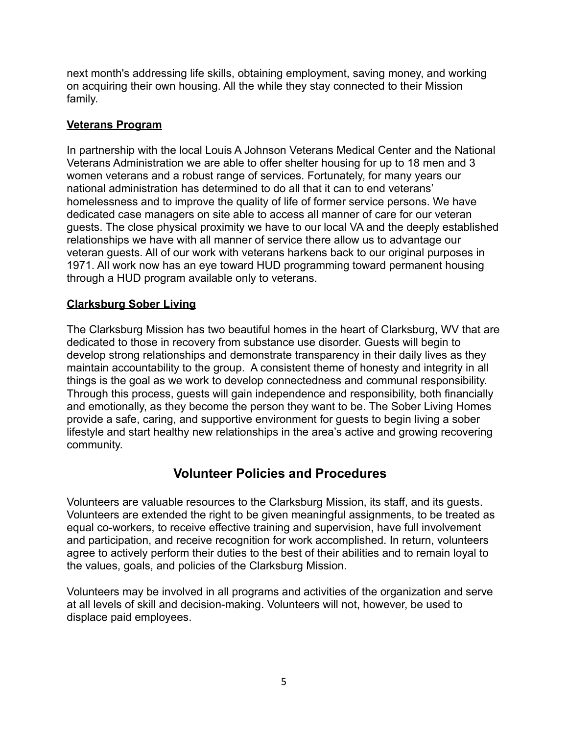next month's addressing life skills, obtaining employment, saving money, and working on acquiring their own housing. All the while they stay connected to their Mission family.

#### **Veterans Program**

In partnership with the local Louis A Johnson Veterans Medical Center and the National Veterans Administration we are able to offer shelter housing for up to 18 men and 3 women veterans and a robust range of services. Fortunately, for many years our national administration has determined to do all that it can to end veterans' homelessness and to improve the quality of life of former service persons. We have dedicated case managers on site able to access all manner of care for our veteran guests. The close physical proximity we have to our local VA and the deeply established relationships we have with all manner of service there allow us to advantage our veteran guests. All of our work with veterans harkens back to our original purposes in 1971. All work now has an eye toward HUD programming toward permanent housing through a HUD program available only to veterans.

#### **Clarksburg Sober Living**

The Clarksburg Mission has two beautiful homes in the heart of Clarksburg, WV that are dedicated to those in recovery from substance use disorder. Guests will begin to develop strong relationships and demonstrate transparency in their daily lives as they maintain accountability to the group. A consistent theme of honesty and integrity in all things is the goal as we work to develop connectedness and communal responsibility. Through this process, guests will gain independence and responsibility, both financially and emotionally, as they become the person they want to be. The Sober Living Homes provide a safe, caring, and supportive environment for guests to begin living a sober lifestyle and start healthy new relationships in the area's active and growing recovering community.

#### **Volunteer Policies and Procedures**

Volunteers are valuable resources to the Clarksburg Mission, its staff, and its guests. Volunteers are extended the right to be given meaningful assignments, to be treated as equal co-workers, to receive effective training and supervision, have full involvement and participation, and receive recognition for work accomplished. In return, volunteers agree to actively perform their duties to the best of their abilities and to remain loyal to the values, goals, and policies of the Clarksburg Mission.

Volunteers may be involved in all programs and activities of the organization and serve at all levels of skill and decision-making. Volunteers will not, however, be used to displace paid employees.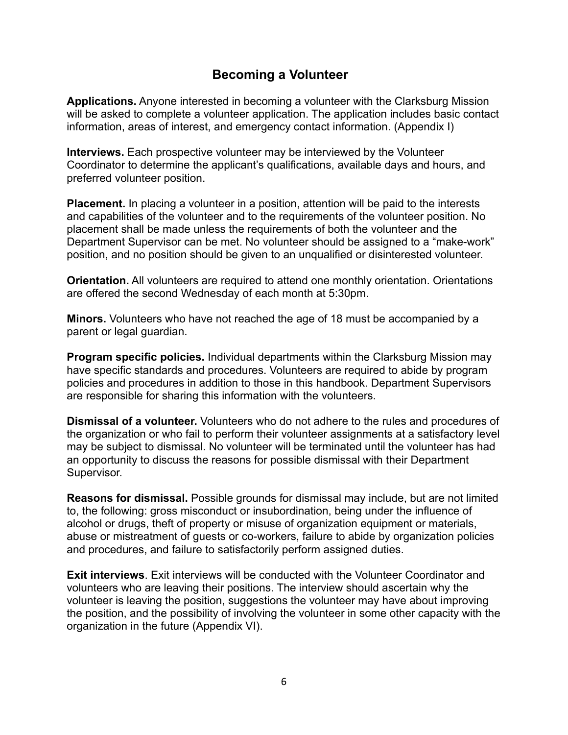#### **Becoming a Volunteer**

**Applications.** Anyone interested in becoming a volunteer with the Clarksburg Mission will be asked to complete a volunteer application. The application includes basic contact information, areas of interest, and emergency contact information. (Appendix I)

**Interviews.** Each prospective volunteer may be interviewed by the Volunteer Coordinator to determine the applicant's qualifications, available days and hours, and preferred volunteer position.

**Placement.** In placing a volunteer in a position, attention will be paid to the interests and capabilities of the volunteer and to the requirements of the volunteer position. No placement shall be made unless the requirements of both the volunteer and the Department Supervisor can be met. No volunteer should be assigned to a "make-work" position, and no position should be given to an unqualified or disinterested volunteer.

**Orientation.** All volunteers are required to attend one monthly orientation. Orientations are offered the second Wednesday of each month at 5:30pm.

**Minors.** Volunteers who have not reached the age of 18 must be accompanied by a parent or legal guardian.

**Program specific policies.** Individual departments within the Clarksburg Mission may have specific standards and procedures. Volunteers are required to abide by program policies and procedures in addition to those in this handbook. Department Supervisors are responsible for sharing this information with the volunteers.

**Dismissal of a volunteer.** Volunteers who do not adhere to the rules and procedures of the organization or who fail to perform their volunteer assignments at a satisfactory level may be subject to dismissal. No volunteer will be terminated until the volunteer has had an opportunity to discuss the reasons for possible dismissal with their Department Supervisor.

**Reasons for dismissal.** Possible grounds for dismissal may include, but are not limited to, the following: gross misconduct or insubordination, being under the influence of alcohol or drugs, theft of property or misuse of organization equipment or materials, abuse or mistreatment of guests or co-workers, failure to abide by organization policies and procedures, and failure to satisfactorily perform assigned duties.

**Exit interviews**. Exit interviews will be conducted with the Volunteer Coordinator and volunteers who are leaving their positions. The interview should ascertain why the volunteer is leaving the position, suggestions the volunteer may have about improving the position, and the possibility of involving the volunteer in some other capacity with the organization in the future (Appendix VI).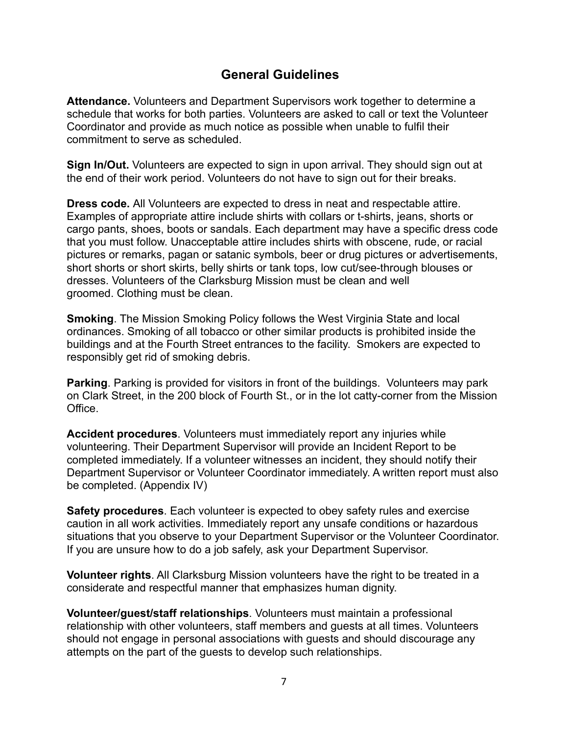#### **General Guidelines**

**Attendance.** Volunteers and Department Supervisors work together to determine a schedule that works for both parties. Volunteers are asked to call or text the Volunteer Coordinator and provide as much notice as possible when unable to fulfil their commitment to serve as scheduled.

**Sign In/Out.** Volunteers are expected to sign in upon arrival. They should sign out at the end of their work period. Volunteers do not have to sign out for their breaks.

**Dress code.** All Volunteers are expected to dress in neat and respectable attire. Examples of appropriate attire include shirts with collars or t-shirts, jeans, shorts or cargo pants, shoes, boots or sandals. Each department may have a specific dress code that you must follow. Unacceptable attire includes shirts with obscene, rude, or racial pictures or remarks, pagan or satanic symbols, beer or drug pictures or advertisements, short shorts or short skirts, belly shirts or tank tops, low cut/see-through blouses or dresses. Volunteers of the Clarksburg Mission must be clean and well groomed. Clothing must be clean.

**Smoking**. The Mission Smoking Policy follows the West Virginia State and local ordinances. Smoking of all tobacco or other similar products is prohibited inside the buildings and at the Fourth Street entrances to the facility. Smokers are expected to responsibly get rid of smoking debris.

**Parking**. Parking is provided for visitors in front of the buildings. Volunteers may park on Clark Street, in the 200 block of Fourth St., or in the lot catty-corner from the Mission **Office** 

**Accident procedures**. Volunteers must immediately report any injuries while volunteering. Their Department Supervisor will provide an Incident Report to be completed immediately. If a volunteer witnesses an incident, they should notify their Department Supervisor or Volunteer Coordinator immediately. A written report must also be completed. (Appendix IV)

**Safety procedures**. Each volunteer is expected to obey safety rules and exercise caution in all work activities. Immediately report any unsafe conditions or hazardous situations that you observe to your Department Supervisor or the Volunteer Coordinator. If you are unsure how to do a job safely, ask your Department Supervisor.

**Volunteer rights**. All Clarksburg Mission volunteers have the right to be treated in a considerate and respectful manner that emphasizes human dignity.

**Volunteer/guest/staff relationships**. Volunteers must maintain a professional relationship with other volunteers, staff members and guests at all times. Volunteers should not engage in personal associations with guests and should discourage any attempts on the part of the guests to develop such relationships.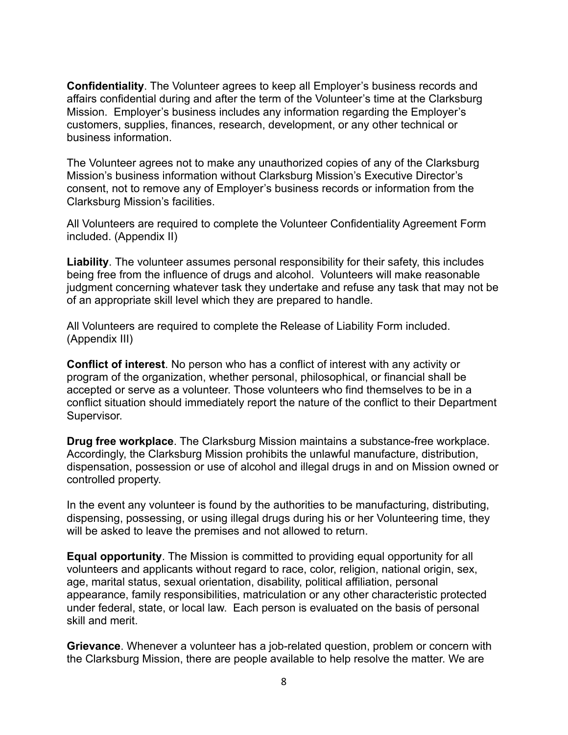**Confidentiality**. The Volunteer agrees to keep all Employer's business records and affairs confidential during and after the term of the Volunteer's time at the Clarksburg Mission. Employer's business includes any information regarding the Employer's customers, supplies, finances, research, development, or any other technical or business information.

The Volunteer agrees not to make any unauthorized copies of any of the Clarksburg Mission's business information without Clarksburg Mission's Executive Director's consent, not to remove any of Employer's business records or information from the Clarksburg Mission's facilities.

All Volunteers are required to complete the Volunteer Confidentiality Agreement Form included. (Appendix II)

**Liability**. The volunteer assumes personal responsibility for their safety, this includes being free from the influence of drugs and alcohol. Volunteers will make reasonable judgment concerning whatever task they undertake and refuse any task that may not be of an appropriate skill level which they are prepared to handle.

All Volunteers are required to complete the Release of Liability Form included. (Appendix III)

**Conflict of interest**. No person who has a conflict of interest with any activity or program of the organization, whether personal, philosophical, or financial shall be accepted or serve as a volunteer. Those volunteers who find themselves to be in a conflict situation should immediately report the nature of the conflict to their Department Supervisor.

**Drug free workplace**. The Clarksburg Mission maintains a substance-free workplace. Accordingly, the Clarksburg Mission prohibits the unlawful manufacture, distribution, dispensation, possession or use of alcohol and illegal drugs in and on Mission owned or controlled property.

In the event any volunteer is found by the authorities to be manufacturing, distributing, dispensing, possessing, or using illegal drugs during his or her Volunteering time, they will be asked to leave the premises and not allowed to return.

**Equal opportunity**. The Mission is committed to providing equal opportunity for all volunteers and applicants without regard to race, color, religion, national origin, sex, age, marital status, sexual orientation, disability, political affiliation, personal appearance, family responsibilities, matriculation or any other characteristic protected under federal, state, or local law. Each person is evaluated on the basis of personal skill and merit.

**Grievance**. Whenever a volunteer has a job-related question, problem or concern with the Clarksburg Mission, there are people available to help resolve the matter. We are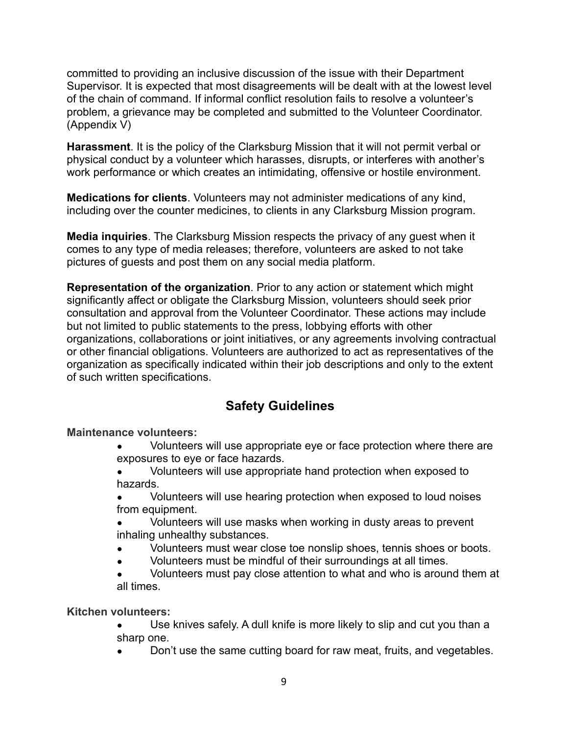committed to providing an inclusive discussion of the issue with their Department Supervisor. It is expected that most disagreements will be dealt with at the lowest level of the chain of command. If informal conflict resolution fails to resolve a volunteer's problem, a grievance may be completed and submitted to the Volunteer Coordinator. (Appendix V)

**Harassment**. It is the policy of the Clarksburg Mission that it will not permit verbal or physical conduct by a volunteer which harasses, disrupts, or interferes with another's work performance or which creates an intimidating, offensive or hostile environment.

**Medications for clients**. Volunteers may not administer medications of any kind, including over the counter medicines, to clients in any Clarksburg Mission program.

**Media inquiries**. The Clarksburg Mission respects the privacy of any guest when it comes to any type of media releases; therefore, volunteers are asked to not take pictures of guests and post them on any social media platform.

**Representation of the organization**. Prior to any action or statement which might significantly affect or obligate the Clarksburg Mission, volunteers should seek prior consultation and approval from the Volunteer Coordinator. These actions may include but not limited to public statements to the press, lobbying efforts with other organizations, collaborations or joint initiatives, or any agreements involving contractual or other financial obligations. Volunteers are authorized to act as representatives of the organization as specifically indicated within their job descriptions and only to the extent of such written specifications.

## **Safety Guidelines**

**Maintenance volunteers:**

- Volunteers will use appropriate eye or face protection where there are exposures to eye or face hazards.
- Volunteers will use appropriate hand protection when exposed to hazards.
- Volunteers will use hearing protection when exposed to loud noises from equipment.
- Volunteers will use masks when working in dusty areas to prevent inhaling unhealthy substances.
- Volunteers must wear close toe nonslip shoes, tennis shoes or boots.
- Volunteers must be mindful of their surroundings at all times.
- Volunteers must pay close attention to what and who is around them at all times.

**Kitchen volunteers:**

- Use knives safely. A dull knife is more likely to slip and cut you than a sharp one.
- Don't use the same cutting board for raw meat, fruits, and vegetables.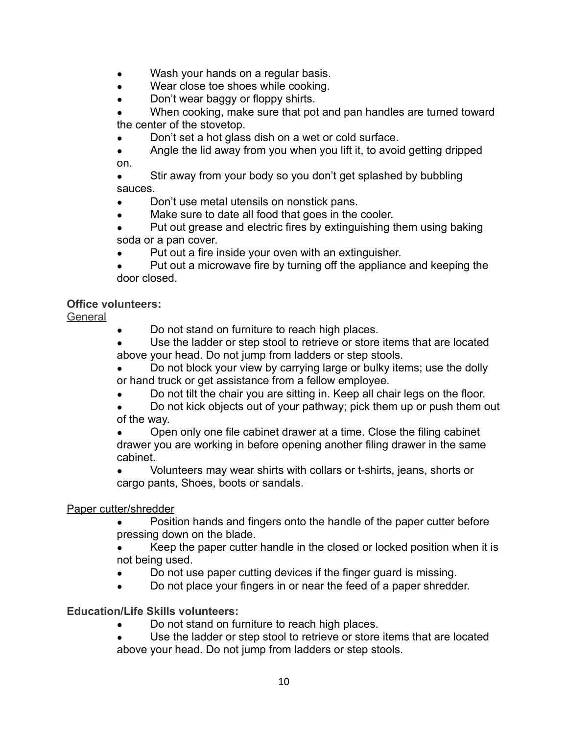- Wash your hands on a regular basis.
- Wear close toe shoes while cooking.
- Don't wear baggy or floppy shirts.

When cooking, make sure that pot and pan handles are turned toward the center of the stovetop.

- Don't set a hot glass dish on a wet or cold surface.
- Angle the lid away from you when you lift it, to avoid getting dripped on.

Stir away from your body so you don't get splashed by bubbling sauces.

- Don't use metal utensils on nonstick pans.
- Make sure to date all food that goes in the cooler.
- Put out grease and electric fires by extinguishing them using baking soda or a pan cover.
- Put out a fire inside your oven with an extinguisher.
- Put out a microwave fire by turning off the appliance and keeping the door closed.

#### **Office volunteers:**

General

- Do not stand on furniture to reach high places.
- Use the ladder or step stool to retrieve or store items that are located above your head. Do not jump from ladders or step stools.
- Do not block your view by carrying large or bulky items; use the dolly or hand truck or get assistance from a fellow employee.
- Do not tilt the chair you are sitting in. Keep all chair legs on the floor.
- Do not kick objects out of your pathway; pick them up or push them out of the way.
- Open only one file cabinet drawer at a time. Close the filing cabinet drawer you are working in before opening another filing drawer in the same cabinet.
- Volunteers may wear shirts with collars or t-shirts, jeans, shorts or cargo pants, Shoes, boots or sandals.

#### Paper cutter/shredder

- Position hands and fingers onto the handle of the paper cutter before pressing down on the blade.
- Keep the paper cutter handle in the closed or locked position when it is not being used.
- Do not use paper cutting devices if the finger guard is missing.
- Do not place your fingers in or near the feed of a paper shredder.

#### **Education/Life Skills volunteers:**

- Do not stand on furniture to reach high places.
- Use the ladder or step stool to retrieve or store items that are located above your head. Do not jump from ladders or step stools.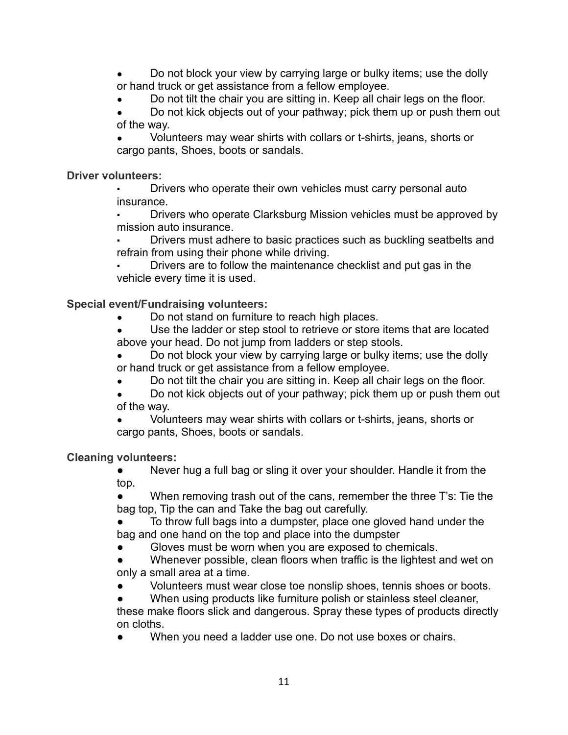Do not block your view by carrying large or bulky items; use the dolly or hand truck or get assistance from a fellow employee.

Do not tilt the chair you are sitting in. Keep all chair legs on the floor.

Do not kick objects out of your pathway; pick them up or push them out of the way.

Volunteers may wear shirts with collars or t-shirts, jeans, shorts or cargo pants, Shoes, boots or sandals.

**Driver volunteers:**

Drivers who operate their own vehicles must carry personal auto insurance.

Drivers who operate Clarksburg Mission vehicles must be approved by mission auto insurance.

Drivers must adhere to basic practices such as buckling seatbelts and refrain from using their phone while driving.

Drivers are to follow the maintenance checklist and put gas in the vehicle every time it is used.

**Special event/Fundraising volunteers:**

Do not stand on furniture to reach high places.

Use the ladder or step stool to retrieve or store items that are located above your head. Do not jump from ladders or step stools.

Do not block your view by carrying large or bulky items; use the dolly or hand truck or get assistance from a fellow employee.

Do not tilt the chair you are sitting in. Keep all chair legs on the floor.

Do not kick objects out of your pathway; pick them up or push them out of the way.

Volunteers may wear shirts with collars or t-shirts, jeans, shorts or cargo pants, Shoes, boots or sandals.

**Cleaning volunteers:**

Never hug a full bag or sling it over your shoulder. Handle it from the top.

When removing trash out of the cans, remember the three T's: Tie the bag top, Tip the can and Take the bag out carefully.

To throw full bags into a dumpster, place one gloved hand under the bag and one hand on the top and place into the dumpster

Gloves must be worn when you are exposed to chemicals.

Whenever possible, clean floors when traffic is the lightest and wet on only a small area at a time.

Volunteers must wear close toe nonslip shoes, tennis shoes or boots.

When using products like furniture polish or stainless steel cleaner,

these make floors slick and dangerous. Spray these types of products directly on cloths.

When you need a ladder use one. Do not use boxes or chairs.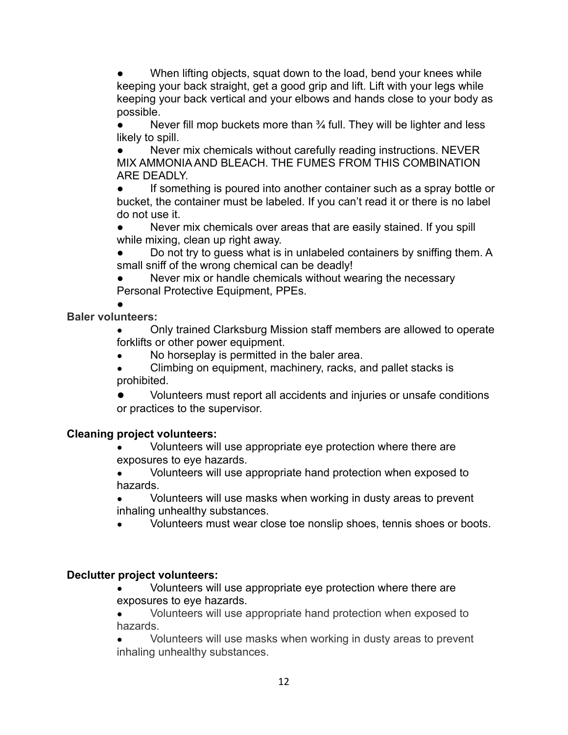When lifting objects, squat down to the load, bend your knees while keeping your back straight, get a good grip and lift. Lift with your legs while keeping your back vertical and your elbows and hands close to your body as possible.

Never fill mop buckets more than  $\frac{3}{4}$  full. They will be lighter and less likely to spill.

Never mix chemicals without carefully reading instructions. NEVER MIX AMMONIA AND BLEACH. THE FUMES FROM THIS COMBINATION ARE DEADLY.

If something is poured into another container such as a spray bottle or bucket, the container must be labeled. If you can't read it or there is no label do not use it.

Never mix chemicals over areas that are easily stained. If you spill while mixing, clean up right away.

Do not try to guess what is in unlabeled containers by sniffing them. A small sniff of the wrong chemical can be deadly!

Never mix or handle chemicals without wearing the necessary Personal Protective Equipment, PPEs.

● **Baler volunteers:**

> Only trained Clarksburg Mission staff members are allowed to operate forklifts or other power equipment.

• No horseplay is permitted in the baler area.

Climbing on equipment, machinery, racks, and pallet stacks is prohibited.

Volunteers must report all accidents and injuries or unsafe conditions or practices to the supervisor.

#### **Cleaning project volunteers:**

Volunteers will use appropriate eye protection where there are exposures to eye hazards.

• Volunteers will use appropriate hand protection when exposed to hazards.

Volunteers will use masks when working in dusty areas to prevent inhaling unhealthy substances.

Volunteers must wear close toe nonslip shoes, tennis shoes or boots.

#### **Declutter project volunteers:**

Volunteers will use appropriate eye protection where there are exposures to eye hazards.

Volunteers will use appropriate hand protection when exposed to hazards.

Volunteers will use masks when working in dusty areas to prevent inhaling unhealthy substances.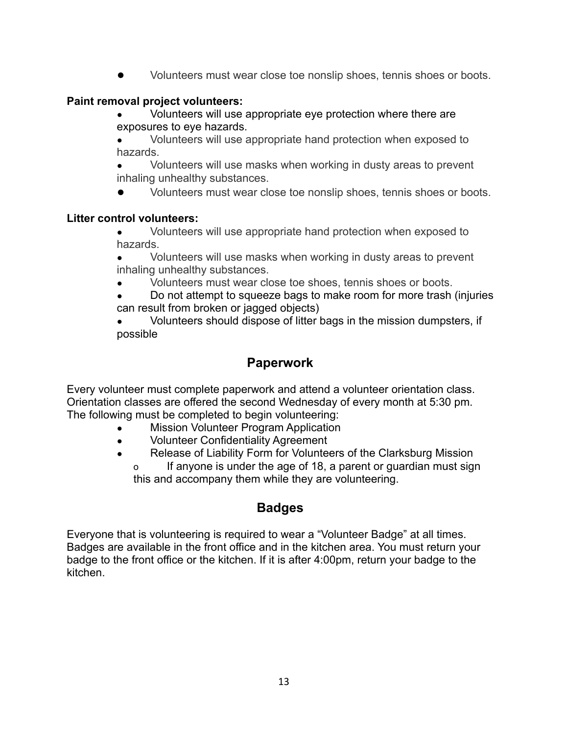Volunteers must wear close toe nonslip shoes, tennis shoes or boots.

#### **Paint removal project volunteers:**

Volunteers will use appropriate eye protection where there are exposures to eye hazards.

Volunteers will use appropriate hand protection when exposed to hazards.

Volunteers will use masks when working in dusty areas to prevent inhaling unhealthy substances.

Volunteers must wear close toe nonslip shoes, tennis shoes or boots.

#### **Litter control volunteers:**

Volunteers will use appropriate hand protection when exposed to hazards.

Volunteers will use masks when working in dusty areas to prevent inhaling unhealthy substances.

Volunteers must wear close toe shoes, tennis shoes or boots.

Do not attempt to squeeze bags to make room for more trash (injuries can result from broken or jagged objects)

Volunteers should dispose of litter bags in the mission dumpsters, if possible

### **Paperwork**

Every volunteer must complete paperwork and attend a volunteer orientation class. Orientation classes are offered the second Wednesday of every month at 5:30 pm. The following must be completed to begin volunteering:

- **Mission Volunteer Program Application**
- Volunteer Confidentiality Agreement
- Release of Liability Form for Volunteers of the Clarksburg Mission

o If anyone is under the age of 18, a parent or guardian must sign this and accompany them while they are volunteering.

#### **Badges**

Everyone that is volunteering is required to wear a "Volunteer Badge" at all times. Badges are available in the front office and in the kitchen area. You must return your badge to the front office or the kitchen. If it is after 4:00pm, return your badge to the kitchen.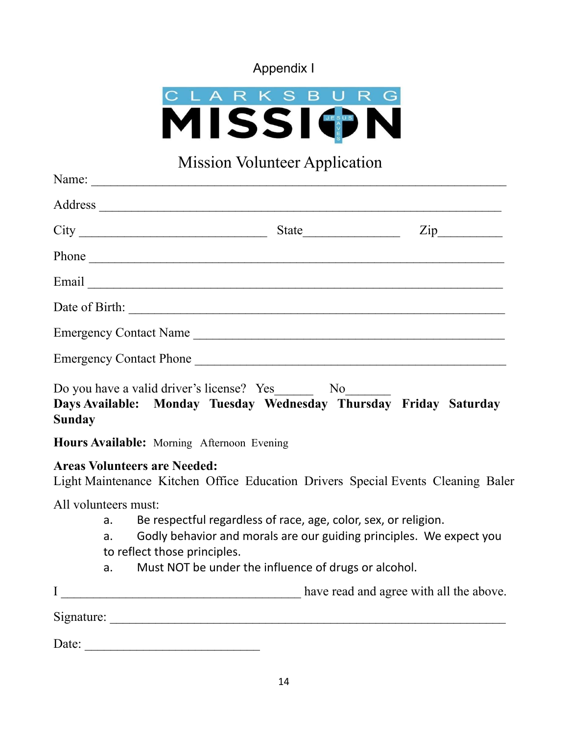## Appendix I



# Mission Volunteer Application

| Name:                                                                                                                                                                                                                             |       |                  |
|-----------------------------------------------------------------------------------------------------------------------------------------------------------------------------------------------------------------------------------|-------|------------------|
|                                                                                                                                                                                                                                   |       |                  |
|                                                                                                                                                                                                                                   | State | $\mathsf{Zip}\_$ |
| Phone                                                                                                                                                                                                                             |       |                  |
|                                                                                                                                                                                                                                   |       |                  |
| Date of Birth:                                                                                                                                                                                                                    |       |                  |
| Emergency Contact Name                                                                                                                                                                                                            |       |                  |
| Emergency Contact Phone                                                                                                                                                                                                           |       |                  |
| Do you have a valid driver's license? Yes _________ No_________<br>Days Available: Monday Tuesday Wednesday Thursday Friday Saturday<br><b>Sunday</b>                                                                             |       |                  |
| $\frac{1}{2}$ . The contract of the contract of the contract of the contract of the contract of the contract of the contract of the contract of the contract of the contract of the contract of the contract of the contract of t |       |                  |

**Hours Available:** Morning Afternoon Evening

#### **Areas Volunteers are Needed:**

Light Maintenance Kitchen Office Education Drivers Special Events Cleaning Baler

All volunteers must:

- a. Be respectful regardless of race, age, color, sex, or religion.
- a. Godly behavior and morals are our guiding principles. We expect you
- to reflect those principles.
- a. Must NOT be under the influence of drugs or alcohol.

|            | have read and agree with all the above. |
|------------|-----------------------------------------|
| Signature: |                                         |

| Date: |  |  |  |  |  |  |  |  |  |
|-------|--|--|--|--|--|--|--|--|--|
|       |  |  |  |  |  |  |  |  |  |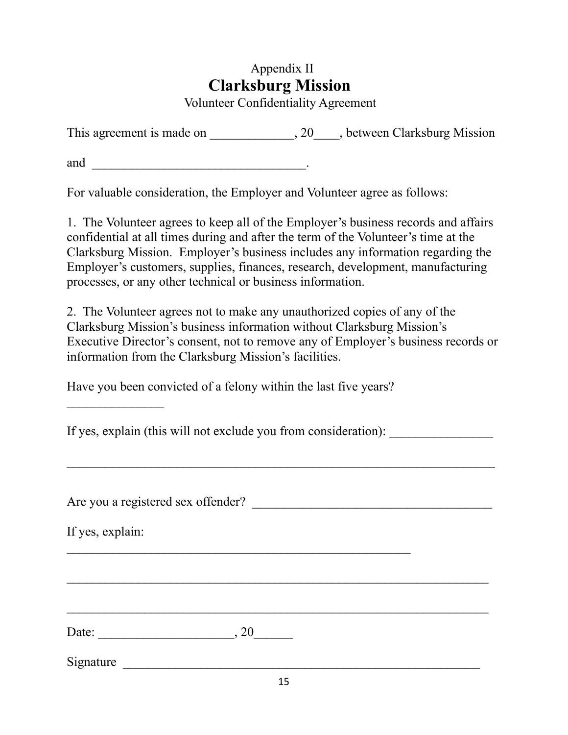# Appendix II **Clarksburg Mission**

Volunteer Confidentiality Agreement

This agreement is made on  $, 20$ , between Clarksburg Mission

and  $\Box$ 

For valuable consideration, the Employer and Volunteer agree as follows:

1. The Volunteer agrees to keep all of the Employer's business records and affairs confidential at all times during and after the term of the Volunteer's time at the Clarksburg Mission. Employer's business includes any information regarding the Employer's customers, supplies, finances, research, development, manufacturing processes, or any other technical or business information.

2. The Volunteer agrees not to make any unauthorized copies of any of the Clarksburg Mission's business information without Clarksburg Mission's Executive Director's consent, not to remove any of Employer's business records or information from the Clarksburg Mission's facilities.

Have you been convicted of a felony within the last five years?

 $\mathcal{L}_\text{max}$  , and the contract of the contract of the contract of the contract of the contract of the contract of the contract of the contract of the contract of the contract of the contract of the contract of the contr

If yes, explain (this will not exclude you from consideration):

Are you a registered sex offender?

If yes, explain:

Date: \_\_\_\_\_\_\_\_\_\_\_\_\_\_\_\_\_\_\_\_\_, 20\_\_\_\_\_\_

Signature

 $\mathcal{L}_\text{max} = \mathcal{L}_\text{max} = \mathcal{L}_\text{max} = \mathcal{L}_\text{max} = \mathcal{L}_\text{max} = \mathcal{L}_\text{max} = \mathcal{L}_\text{max} = \mathcal{L}_\text{max} = \mathcal{L}_\text{max} = \mathcal{L}_\text{max} = \mathcal{L}_\text{max} = \mathcal{L}_\text{max} = \mathcal{L}_\text{max} = \mathcal{L}_\text{max} = \mathcal{L}_\text{max} = \mathcal{L}_\text{max} = \mathcal{L}_\text{max} = \mathcal{L}_\text{max} = \mathcal{$ 

 $\mathcal{L}_\text{max}$  , and the contract of the contract of the contract of the contract of the contract of the contract of the contract of the contract of the contract of the contract of the contract of the contract of the contr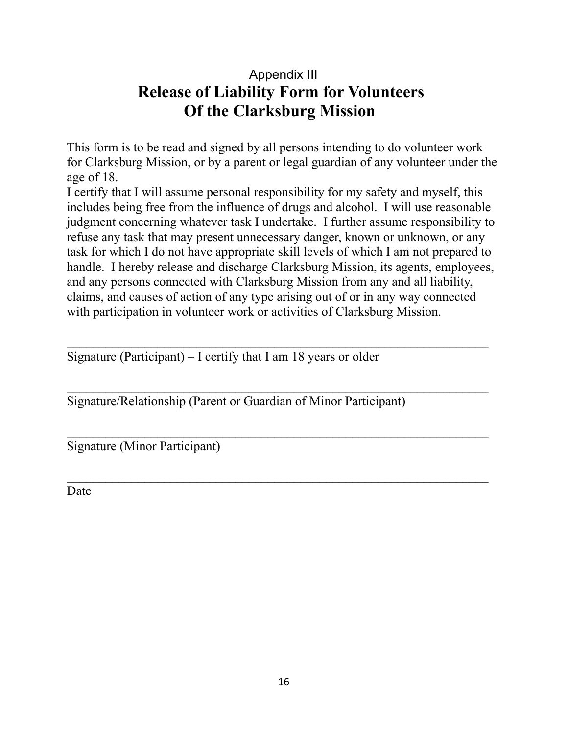# Appendix III **Release of Liability Form for Volunteers Of the Clarksburg Mission**

This form is to be read and signed by all persons intending to do volunteer work for Clarksburg Mission, or by a parent or legal guardian of any volunteer under the age of 18.

I certify that I will assume personal responsibility for my safety and myself, this includes being free from the influence of drugs and alcohol. I will use reasonable judgment concerning whatever task I undertake. I further assume responsibility to refuse any task that may present unnecessary danger, known or unknown, or any task for which I do not have appropriate skill levels of which I am not prepared to handle. I hereby release and discharge Clarksburg Mission, its agents, employees, and any persons connected with Clarksburg Mission from any and all liability, claims, and causes of action of any type arising out of or in any way connected with participation in volunteer work or activities of Clarksburg Mission.

 $\mathcal{L}_\text{max}$  , and the contract of the contract of the contract of the contract of the contract of the contract of the contract of the contract of the contract of the contract of the contract of the contract of the contr

 $\mathcal{L}_\text{max}$  , and the contract of the contract of the contract of the contract of the contract of the contract of the contract of the contract of the contract of the contract of the contract of the contract of the contr

Signature (Participant) – I certify that I am 18 years or older

Signature/Relationship (Parent or Guardian of Minor Participant)

Signature (Minor Participant)

Date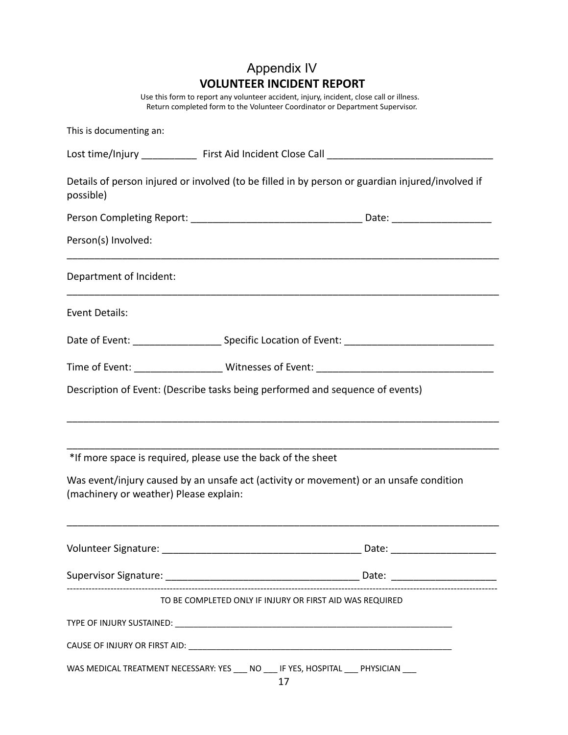## Appendix IV **VOLUNTEER INCIDENT REPORT**

Use this form to report any volunteer accident, injury, incident, close call or illness. Return completed form to the Volunteer Coordinator or Department Supervisor.

| This is documenting an:                |                                                                                                  |
|----------------------------------------|--------------------------------------------------------------------------------------------------|
|                                        |                                                                                                  |
| possible)                              | Details of person injured or involved (to be filled in by person or guardian injured/involved if |
|                                        |                                                                                                  |
| Person(s) Involved:                    |                                                                                                  |
| Department of Incident:                |                                                                                                  |
| <b>Event Details:</b>                  |                                                                                                  |
|                                        |                                                                                                  |
|                                        |                                                                                                  |
|                                        | Description of Event: (Describe tasks being performed and sequence of events)                    |
|                                        | *If more space is required, please use the back of the sheet                                     |
| (machinery or weather) Please explain: | Was event/injury caused by an unsafe act (activity or movement) or an unsafe condition           |
|                                        |                                                                                                  |
|                                        |                                                                                                  |
| ---------------------------------      | TO BE COMPLETED ONLY IF INJURY OR FIRST AID WAS REQUIRED                                         |
|                                        |                                                                                                  |
|                                        |                                                                                                  |
|                                        | WAS MEDICAL TREATMENT NECESSARY: YES ___ NO ___ IF YES, HOSPITAL ___ PHYSICIAN ___               |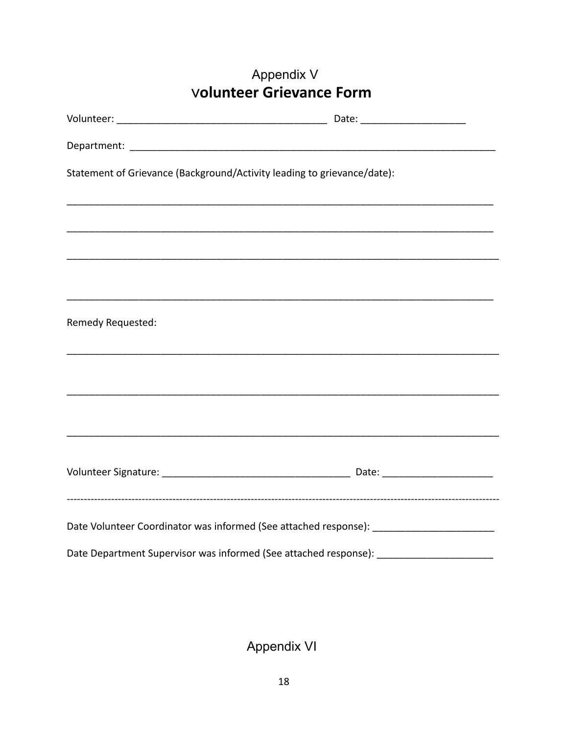# Appendix V **Volunteer Grievance Form**

|                                                                                         | Statement of Grievance (Background/Activity leading to grievance/date): |  |  |  |  |
|-----------------------------------------------------------------------------------------|-------------------------------------------------------------------------|--|--|--|--|
|                                                                                         |                                                                         |  |  |  |  |
|                                                                                         |                                                                         |  |  |  |  |
|                                                                                         |                                                                         |  |  |  |  |
| Remedy Requested:                                                                       |                                                                         |  |  |  |  |
|                                                                                         |                                                                         |  |  |  |  |
|                                                                                         |                                                                         |  |  |  |  |
|                                                                                         |                                                                         |  |  |  |  |
| Date Volunteer Coordinator was informed (See attached response): ______________________ |                                                                         |  |  |  |  |
| Date Denartment Supervisor was informed (See attached response).                        |                                                                         |  |  |  |  |

Appendix VI